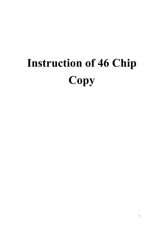## **Instruction of 46 Chip Copy**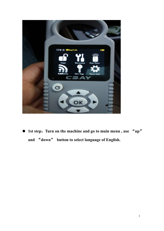

 **1st step**:**Turn on the machine and go to main menu , use**"**up**" **and** "**down**" **button to select language of English.**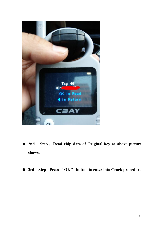

- **2nd Step**:**Read chip data of Original key as above picture shows.**
- **3rd Step**:**Press** "**OK**" **button toenter into Crack procedure**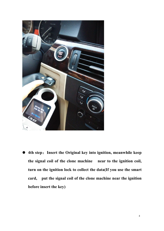

 **4th step**:**Insert the Original key into ignition, meanwhile keep the signal coil of the clone machine near to the ignition coil, turn on the ignition lock to collect the data(If you use the smart card, put the signal coil of the clone machine near the ignition before insert the key)**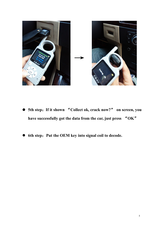

- **5th step**:**If it shown** "**Collect ok, crack now?**" **on screen, you have successfully got the data from the car, just press** "**OK**"
- **6th step**:**Put the OEM key into signal coil to decode.**